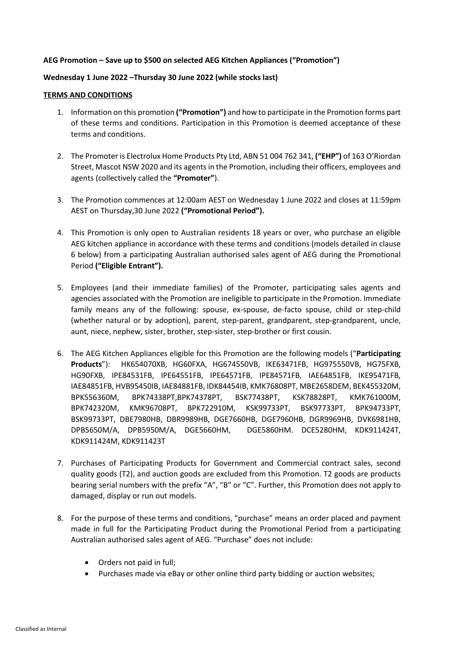## **AEG Promotion – Save up to \$500 on selected AEG Kitchen Appliances ("Promotion")**

## **Wednesday 1 June 2022 –Thursday 30 June 2022 (while stocks last)**

## **TERMS AND CONDITIONS**

- 1. Information on this promotion **("Promotion")** and how to participate in the Promotion forms part of these terms and conditions. Participation in this Promotion is deemed acceptance of these terms and conditions.
- 2. The Promoter is Electrolux Home Products Pty Ltd, ABN 51 004 762 341, **("EHP")** of 163 O'Riordan Street, Mascot NSW 2020 and its agents in the Promotion, including their officers, employees and agents (collectively called the **"Promoter"**).
- 3. The Promotion commences at 12:00am AEST on Wednesday 1 June 2022 and closes at 11:59pm AEST on Thursday,30 June 2022 **("Promotional Period").**
- 4. This Promotion is only open to Australian residents 18 years or over, who purchase an eligible AEG kitchen appliance in accordance with these terms and conditions (models detailed in clause 6 below) from a participating Australian authorised sales agent of AEG during the Promotional Period **("Eligible Entrant").**
- 5. Employees (and their immediate families) of the Promoter, participating sales agents and agencies associated with the Promotion are ineligible to participate in the Promotion. Immediate family means any of the following: spouse, ex-spouse, de-facto spouse, child or step-child (whether natural or by adoption), parent, step-parent, grandparent, step-grandparent, uncle, aunt, niece, nephew, sister, brother, step-sister, step-brother or first cousin.
- 6. The AEG Kitchen Appliances eligible for this Promotion are the following models ("**Participating Products**"): HK654070XB, HG60FXA, HG674550VB, IKE63471FB, HG975550VB, HG75FXB, HG90FXB, IPE84531FB, IPE64551FB, IPE64571FB, IPE84571FB, IAE64851FB, IKE95471FB, IAE84851FB, HVB95450IB, IAE84881FB, IDK84454IB, KMK76808PT, MBE2658DEM, BEK455320M, BPK556360M, BPK74338PT,BPK74378PT, BSK77438PT, KSK78828PT, KMK761000M, BPK742320M, KMK96708PT, BPK722910M, KSK99733PT, BSK97733PT, BPK94733PT, BSK99733PT, DBE7980HB, DBR9989HB, DGE7660HB, DGE7960HB, DGR9969HB, DVK6981HB, DPB5650M/A, DPB5950M/A, DGE5660HM, DGE5860HM. DCE5280HM, KDK911424T, KDK911424M, KDK911423T
- 7. Purchases of Participating Products for Government and Commercial contract sales, second quality goods (T2), and auction goods are excluded from this Promotion. T2 goods are products bearing serial numbers with the prefix "A", "B" or "C". Further, this Promotion does not apply to damaged, display or run out models.
- 8. For the purpose of these terms and conditions, "purchase" means an order placed and payment made in full for the Participating Product during the Promotional Period from a participating Australian authorised sales agent of AEG. "Purchase" does not include:
	- Orders not paid in full;
	- Purchases made via eBay or other online third party bidding or auction websites;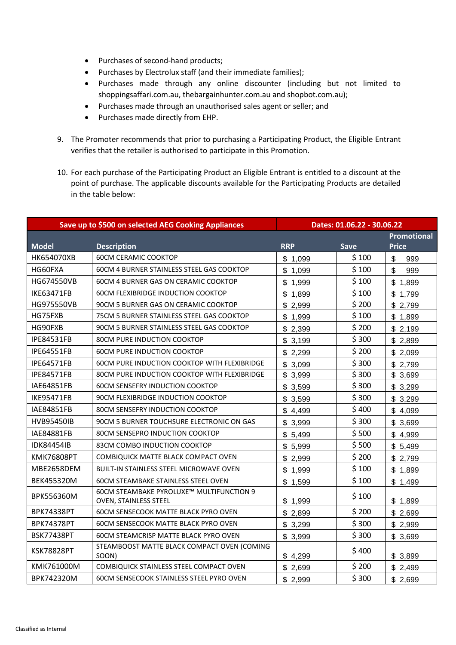- Purchases of second-hand products;
- Purchases by Electrolux staff (and their immediate families);
- Purchases made through any online discounter (including but not limited to shoppingsaffari.com.au, thebargainhunter.com.au and shopbot.com.au);
- Purchases made through an unauthorised sales agent or seller; and
- Purchases made directly from EHP.
- 9. The Promoter recommends that prior to purchasing a Participating Product, the Eligible Entrant verifies that the retailer is authorised to participate in this Promotion.
- 10. For each purchase of the Participating Product an Eligible Entrant is entitled to a discount at the point of purchase. The applicable discounts available for the Participating Products are detailed in the table below:

| Save up to \$500 on selected AEG Cooking Appliances |                                                      | Dates: 01.06.22 - 30.06.22 |             |                                  |
|-----------------------------------------------------|------------------------------------------------------|----------------------------|-------------|----------------------------------|
|                                                     |                                                      |                            |             | <b>Promotional</b>               |
| <b>Model</b>                                        | <b>Description</b>                                   | <b>RRP</b>                 | <b>Save</b> | <b>Price</b>                     |
| HK654070XB                                          | <b>60CM CERAMIC COOKTOP</b>                          | \$1,099                    | \$100       | $\boldsymbol{\mathsf{S}}$<br>999 |
| HG60FXA                                             | 60CM 4 BURNER STAINLESS STEEL GAS COOKTOP            | \$1,099                    | \$100       | \$<br>999                        |
| HG674550VB                                          | <b>60CM 4 BURNER GAS ON CERAMIC COOKTOP</b>          | \$1,999                    | \$100       | \$<br>1,899                      |
| <b>IKE63471FB</b>                                   | <b>60CM FLEXIBRIDGE INDUCTION COOKTOP</b>            | \$1,899                    | \$100       | \$<br>1,799                      |
| HG975550VB                                          | 90CM 5 BURNER GAS ON CERAMIC COOKTOP                 | \$2,999                    | \$200       | \$2,799                          |
| HG75FXB                                             | 75CM 5 BURNER STAINLESS STEEL GAS COOKTOP            | \$1,999                    | \$100       | \$1,899                          |
| HG90FXB                                             | 90CM 5 BURNER STAINLESS STEEL GAS COOKTOP            | \$2,399                    | \$200       | \$2,199                          |
| <b>IPE84531FB</b>                                   | <b>80CM PURE INDUCTION COOKTOP</b>                   | \$3,199                    | \$300       | \$2,899                          |
| <b>IPE64551FB</b>                                   | <b>60CM PURE INDUCTION COOKTOP</b>                   | \$2,299                    | \$200       | \$2,099                          |
| <b>IPE64571FB</b>                                   | <b>60CM PURE INDUCTION COOKTOP WITH FLEXIBRIDGE</b>  | \$3,099                    | \$300       | \$2,799                          |
| <b>IPE84571FB</b>                                   | 80CM PURE INDUCTION COOKTOP WITH FLEXIBRIDGE         | \$3,999                    | \$300       | \$3,699                          |
| IAE64851FB                                          | <b>60CM SENSEFRY INDUCTION COOKTOP</b>               | \$3,599                    | \$300       | \$3,299                          |
| <b>IKE95471FB</b>                                   | 90CM FLEXIBRIDGE INDUCTION COOKTOP                   | \$3,599                    | \$300       | \$3,299                          |
| IAE84851FB                                          | <b>80CM SENSEFRY INDUCTION COOKTOP</b>               | \$4,499                    | \$400       | \$4,099                          |
| <b>HVB95450IB</b>                                   | 90CM 5 BURNER TOUCHSURE ELECTRONIC ON GAS            | \$3,999                    | \$300       | \$3,699                          |
| IAE84881FB                                          | 80CM SENSEPRO INDUCTION COOKTOP                      | \$5,499                    | \$500       | \$4,999                          |
| <b>IDK84454IB</b>                                   | 83CM COMBO INDUCTION COOKTOP                         | \$5,999                    | \$500       | \$5,499                          |
| KMK76808PT                                          | COMBIQUICK MATTE BLACK COMPACT OVEN                  | \$2,999                    | \$200       | \$2,799                          |
| MBE2658DEM                                          | <b>BUILT-IN STAINLESS STEEL MICROWAVE OVEN</b>       | \$1,999                    | \$100       | \$1,899                          |
| BEK455320M                                          | <b>60CM STEAMBAKE STAINLESS STEEL OVEN</b>           | \$1,599                    | \$100       | \$1,499                          |
| BPK556360M                                          | 60CM STEAMBAKE PYROLUXE™ MULTIFUNCTION 9             |                            | \$100       |                                  |
|                                                     | OVEN, STAINLESS STEEL                                | \$1,999                    |             | \$1,899                          |
| <b>BPK74338PT</b>                                   | <b>60CM SENSECOOK MATTE BLACK PYRO OVEN</b>          | \$2,899                    | \$200       | \$2,699                          |
| <b>BPK74378PT</b>                                   | <b>60CM SENSECOOK MATTE BLACK PYRO OVEN</b>          | \$3,299                    | \$300       | \$2,999                          |
| <b>BSK77438PT</b>                                   | 60CM STEAMCRISP MATTE BLACK PYRO OVEN                | \$3,999                    | \$300       | \$3,699                          |
| <b>KSK78828PT</b>                                   | STEAMBOOST MATTE BLACK COMPACT OVEN (COMING<br>SOON) | \$4,299                    | \$400       | \$3,899                          |
| KMK761000M                                          | COMBIQUICK STAINLESS STEEL COMPACT OVEN              | \$2,699                    | \$200       | \$2,499                          |
| BPK742320M                                          | <b>60CM SENSECOOK STAINLESS STEEL PYRO OVEN</b>      | \$2,999                    | \$300       | \$2,699                          |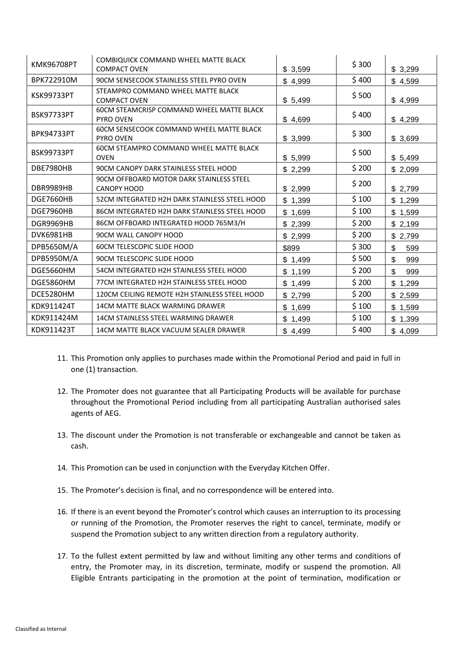| <b>KMK96708PT</b> | COMBIQUICK COMMAND WHEEL MATTE BLACK<br><b>COMPACT OVEN</b>          | \$3,599     | \$300 | \$3,299     |
|-------------------|----------------------------------------------------------------------|-------------|-------|-------------|
| BPK722910M        | 90CM SENSECOOK STAINLESS STEEL PYRO OVEN                             | \$4,999     | \$400 | \$4,599     |
| KSK99733PT        | STEAMPRO COMMAND WHEEL MATTE BLACK<br><b>COMPACT OVEN</b>            | \$5,499     | \$500 | \$4,999     |
| <b>BSK97733PT</b> | <b>60CM STEAMCRISP COMMAND WHEEL MATTE BLACK</b><br><b>PYRO OVEN</b> | \$4,699     | \$400 | \$4,299     |
| <b>BPK94733PT</b> | <b>60CM SENSECOOK COMMAND WHEEL MATTE BLACK</b><br><b>PYRO OVEN</b>  | \$3,999     | \$300 | \$3,699     |
| <b>BSK99733PT</b> | <b>60CM STEAMPRO COMMAND WHEEL MATTE BLACK</b><br><b>OVEN</b>        | \$5,999     | \$500 | \$5,499     |
| <b>DBE7980HB</b>  | 90CM CANOPY DARK STAINLESS STEEL HOOD                                | \$2,299     | \$200 | \$2,099     |
| DBR9989HB         | 90CM OFFBOARD MOTOR DARK STAINLESS STEEL<br><b>CANOPY HOOD</b>       | \$2,999     | \$200 | \$2,799     |
| DGE7660HB         | 52CM INTEGRATED H2H DARK STAINLESS STEEL HOOD                        | \$1,399     | \$100 | \$1,299     |
| DGE7960HB         | 86CM INTEGRATED H2H DARK STAINLESS STEEL HOOD                        | \$1,699     | \$100 | \$1,599     |
| DGR9969HB         | 86CM OFFBOARD INTEGRATED HOOD 765M3/H                                | \$2,399     | \$200 | \$2,199     |
| DVK6981HB         | 90CM WALL CANOPY HOOD                                                | \$2,999     | \$200 | \$2,799     |
| DPB5650M/A        | <b>60CM TELESCOPIC SLIDE HOOD</b>                                    | \$899       | \$300 | \$<br>599   |
| DPB5950M/A        | 90CM TELESCOPIC SLIDE HOOD                                           | \$1,499     | \$500 | \$<br>999   |
| DGE5660HM         | 54CM INTEGRATED H2H STAINLESS STEEL HOOD                             | \$1,199     | \$200 | \$<br>999   |
| DGE5860HM         | 77CM INTEGRATED H2H STAINLESS STEEL HOOD                             | \$<br>1,499 | \$200 | \$<br>1,299 |
| DCE5280HM         | 120CM CEILING REMOTE H2H STAINLESS STEEL HOOD                        | \$2,799     | \$200 | \$2,599     |
| KDK911424T        | 14CM MATTE BLACK WARMING DRAWER                                      | \$<br>1,699 | \$100 | \$<br>1,599 |
| KDK911424M        | 14CM STAINLESS STEEL WARMING DRAWER                                  | \$<br>1,499 | \$100 | \$<br>1,399 |
| KDK911423T        | 14CM MATTE BLACK VACUUM SEALER DRAWER                                | \$4,499     | \$400 | \$4,099     |

- 11. This Promotion only applies to purchases made within the Promotional Period and paid in full in one (1) transaction.
- 12. The Promoter does not guarantee that all Participating Products will be available for purchase throughout the Promotional Period including from all participating Australian authorised sales agents of AEG.
- 13. The discount under the Promotion is not transferable or exchangeable and cannot be taken as cash.
- 14. This Promotion can be used in conjunction with the Everyday Kitchen Offer.
- 15. The Promoter's decision is final, and no correspondence will be entered into.
- 16. If there is an event beyond the Promoter's control which causes an interruption to its processing or running of the Promotion, the Promoter reserves the right to cancel, terminate, modify or suspend the Promotion subject to any written direction from a regulatory authority.
- 17. To the fullest extent permitted by law and without limiting any other terms and conditions of entry, the Promoter may, in its discretion, terminate, modify or suspend the promotion. All Eligible Entrants participating in the promotion at the point of termination, modification or